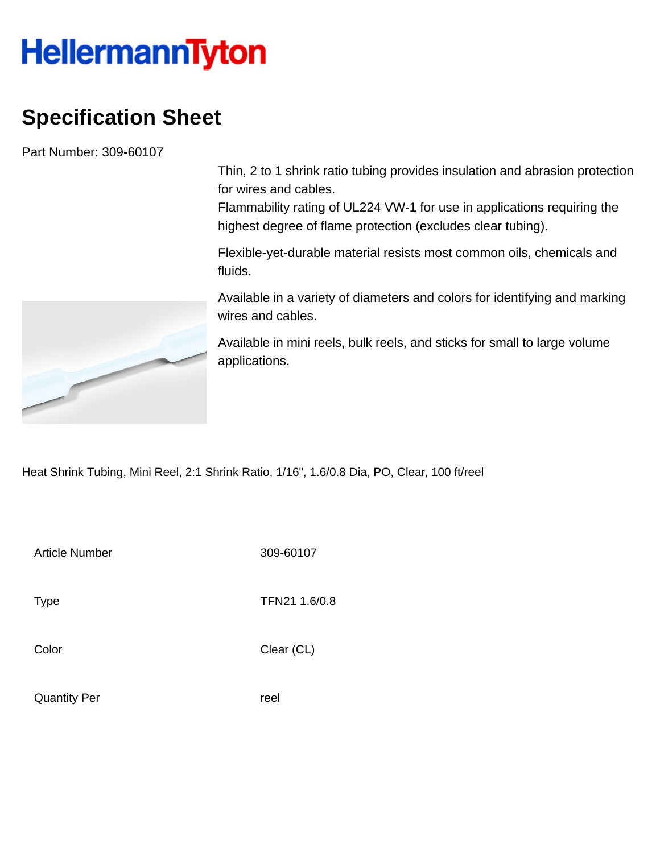## **HellermannTyton**

## **Specification Sheet**

Part Number: 309-60107

Thin, 2 to 1 shrink ratio tubing provides insulation and abrasion protection for wires and cables.

Flammability rating of UL224 VW-1 for use in applications requiring the highest degree of flame protection (excludes clear tubing).

Flexible-yet-durable material resists most common oils, chemicals and fluids.

Available in a variety of diameters and colors for identifying and marking wires and cables.

Available in mini reels, bulk reels, and sticks for small to large volume applications.

Heat Shrink Tubing, Mini Reel, 2:1 Shrink Ratio, 1/16", 1.6/0.8 Dia, PO, Clear, 100 ft/reel

Article Number 309-60107

Type **TFN21 1.6/0.8** 

Color Clear (CL)

Quantity Per **reel** 

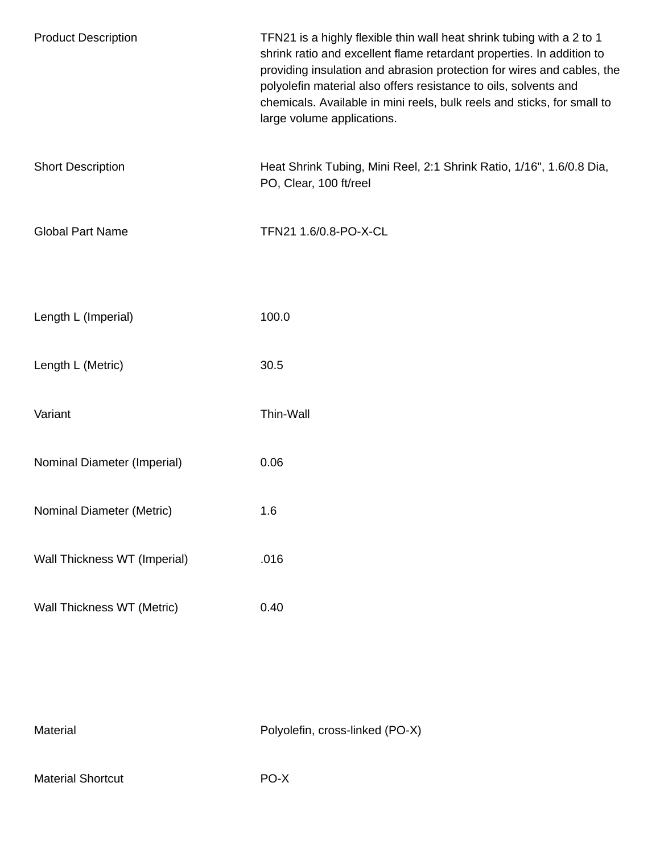| <b>Product Description</b>   | TFN21 is a highly flexible thin wall heat shrink tubing with a 2 to 1<br>shrink ratio and excellent flame retardant properties. In addition to<br>providing insulation and abrasion protection for wires and cables, the<br>polyolefin material also offers resistance to oils, solvents and<br>chemicals. Available in mini reels, bulk reels and sticks, for small to<br>large volume applications. |
|------------------------------|-------------------------------------------------------------------------------------------------------------------------------------------------------------------------------------------------------------------------------------------------------------------------------------------------------------------------------------------------------------------------------------------------------|
| <b>Short Description</b>     | Heat Shrink Tubing, Mini Reel, 2:1 Shrink Ratio, 1/16", 1.6/0.8 Dia,<br>PO, Clear, 100 ft/reel                                                                                                                                                                                                                                                                                                        |
| <b>Global Part Name</b>      | TFN21 1.6/0.8-PO-X-CL                                                                                                                                                                                                                                                                                                                                                                                 |
| Length L (Imperial)          | 100.0                                                                                                                                                                                                                                                                                                                                                                                                 |
| Length L (Metric)            | 30.5                                                                                                                                                                                                                                                                                                                                                                                                  |
| Variant                      | Thin-Wall                                                                                                                                                                                                                                                                                                                                                                                             |
| Nominal Diameter (Imperial)  | 0.06                                                                                                                                                                                                                                                                                                                                                                                                  |
| Nominal Diameter (Metric)    | 1.6                                                                                                                                                                                                                                                                                                                                                                                                   |
| Wall Thickness WT (Imperial) | .016                                                                                                                                                                                                                                                                                                                                                                                                  |
| Wall Thickness WT (Metric)   | 0.40                                                                                                                                                                                                                                                                                                                                                                                                  |

|  | Material |  |
|--|----------|--|
|  |          |  |
|  |          |  |

Polyolefin, cross-linked (PO-X)